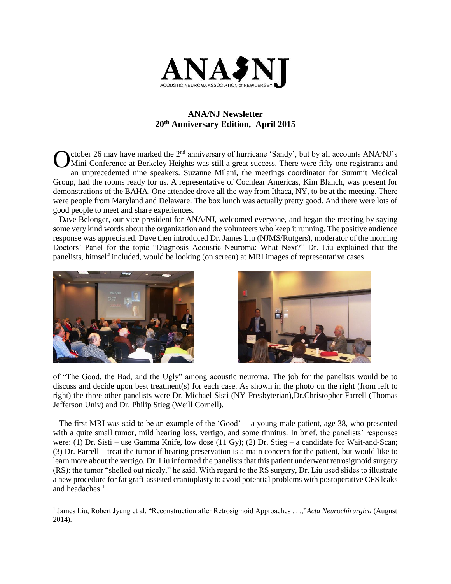

## **ANA/NJ Newsletter 20th Anniversary Edition, April 2015**

ctober 26 may have marked the 2<sup>nd</sup> anniversary of hurricane 'Sandy', but by all accounts ANA/NJ's Mini-Conference at Berkeley Heights was still a great success. There were fifty-one registrants and an unprecedented nine speakers. Suzanne Milani, the meetings coordinator for Summit Medical Group, had the rooms ready for us. A representative of Cochlear Americas, Kim Blanch, was present for demonstrations of the BAHA. One attendee drove all the way from Ithaca, NY, to be at the meeting. There were people from Maryland and Delaware. The box lunch was actually pretty good. And there were lots of good people to meet and share experiences. O

 Dave Belonger, our vice president for ANA/NJ, welcomed everyone, and began the meeting by saying some very kind words about the organization and the volunteers who keep it running. The positive audience response was appreciated. Dave then introduced Dr. James Liu (NJMS/Rutgers), moderator of the morning Doctors' Panel for the topic "Diagnosis Acoustic Neuroma: What Next?" Dr. Liu explained that the panelists, himself included, would be looking (on screen) at MRI images of representative cases



l



of "The Good, the Bad, and the Ugly" among acoustic neuroma. The job for the panelists would be to discuss and decide upon best treatment(s) for each case. As shown in the photo on the right (from left to right) the three other panelists were Dr. Michael Sisti (NY-Presbyterian),Dr.Christopher Farrell (Thomas Jefferson Univ) and Dr. Philip Stieg (Weill Cornell).

 The first MRI was said to be an example of the 'Good' -- a young male patient, age 38, who presented with a quite small tumor, mild hearing loss, vertigo, and some tinnitus. In brief, the panelists' responses were: (1) Dr. Sisti – use Gamma Knife, low dose (11 Gy); (2) Dr. Stieg – a candidate for Wait-and-Scan; (3) Dr. Farrell – treat the tumor if hearing preservation is a main concern for the patient, but would like to learn more about the vertigo. Dr. Liu informed the panelists that this patient underwent retrosigmoid surgery (RS): the tumor "shelled out nicely," he said. With regard to the RS surgery, Dr. Liu used slides to illustrate a new procedure for fat graft-assisted cranioplasty to avoid potential problems with postoperative CFS leaks and headaches.<sup>1</sup>

<sup>&</sup>lt;sup>1</sup> James Liu, Robert Jyung et al, "Reconstruction after Retrosigmoid Approaches . . .,"Acta Neurochirurgica (August 2014).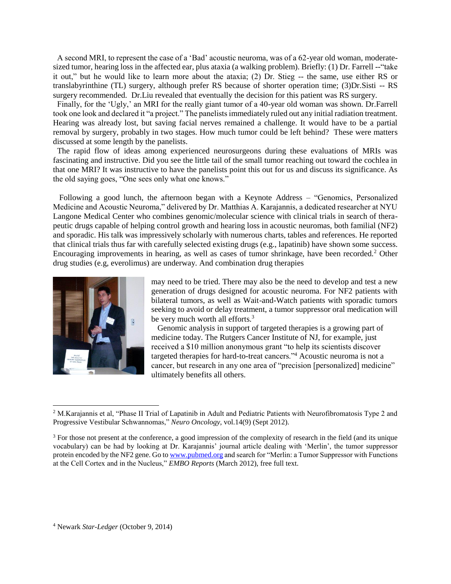A second MRI, to represent the case of a 'Bad' acoustic neuroma, was of a 62-year old woman, moderatesized tumor, hearing loss in the affected ear, plus ataxia (a walking problem). Briefly: (1) Dr. Farrell -- "take it out," but he would like to learn more about the ataxia; (2) Dr. Stieg -- the same, use either RS or translabyrinthine (TL) surgery, although prefer RS because of shorter operation time; (3)Dr.Sisti -- RS surgery recommended. Dr.Liu revealed that eventually the decision for this patient was RS surgery.

 Finally, for the 'Ugly,' an MRI for the really giant tumor of a 40-year old woman was shown. Dr.Farrell took one look and declared it "a project." The panelists immediately ruled out any initial radiation treatment. Hearing was already lost, but saving facial nerves remained a challenge. It would have to be a partial removal by surgery, probably in two stages. How much tumor could be left behind? These were matters discussed at some length by the panelists.

 The rapid flow of ideas among experienced neurosurgeons during these evaluations of MRIs was fascinating and instructive. Did you see the little tail of the small tumor reaching out toward the cochlea in that one MRI? It was instructive to have the panelists point this out for us and discuss its significance. As the old saying goes, "One sees only what one knows."

 Following a good lunch, the afternoon began with a Keynote Address – "Genomics, Personalized Medicine and Acoustic Neuroma," delivered by Dr. Matthias A. Karajannis, a dedicated researcher at NYU Langone Medical Center who combines genomic/molecular science with clinical trials in search of therapeutic drugs capable of helping control growth and hearing loss in acoustic neuromas, both familial (NF2) and sporadic. His talk was impressively scholarly with numerous charts, tables and references. He reported that clinical trials thus far with carefully selected existing drugs (e.g., lapatinib) have shown some success. Encouraging improvements in hearing, as well as cases of tumor shrinkage, have been recorded.<sup>2</sup> Other drug studies (e.g, everolimus) are underway. And combination drug therapies



l

may need to be tried. There may also be the need to develop and test a new generation of drugs designed for acoustic neuroma. For NF2 patients with bilateral tumors, as well as Wait-and-Watch patients with sporadic tumors seeking to avoid or delay treatment, a tumor suppressor oral medication will be very much worth all efforts.<sup>3</sup>

 Genomic analysis in support of targeted therapies is a growing part of medicine today. The Rutgers Cancer Institute of NJ, for example, just received a \$10 million anonymous grant "to help its scientists discover targeted therapies for hard-to-treat cancers."<sup>4</sup> Acoustic neuroma is not a cancer, but research in any one area of "precision [personalized] medicine" ultimately benefits all others.

<sup>&</sup>lt;sup>2</sup> M.Karajannis et al, "Phase II Trial of Lapatinib in Adult and Pediatric Patients with Neurofibromatosis Type 2 and Progressive Vestibular Schwannomas," *Neuro Oncology*, vol.14(9) (Sept 2012).

<sup>&</sup>lt;sup>3</sup> For those not present at the conference, a good impression of the complexity of research in the field (and its unique vocabulary) can be had by looking at Dr. Karajannis' journal article dealing with 'Merlin', the tumor suppressor protein encoded by the NF2 gene. Go t[o www.pubmed.org](http://www.pubmed.org/) and search for "Merlin: a Tumor Suppressor with Functions at the Cell Cortex and in the Nucleus," *EMBO Reports* (March 2012), free full text.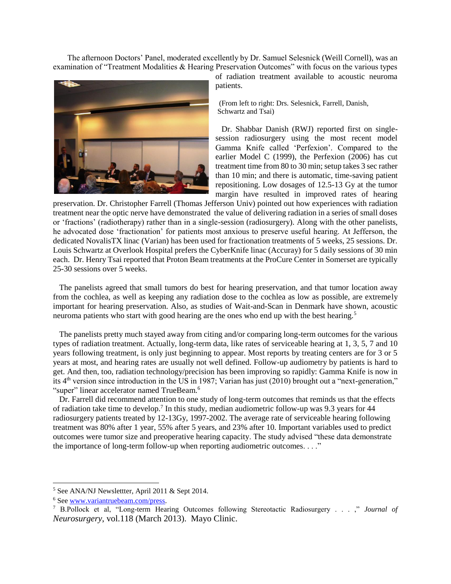The afternoon Doctors' Panel, moderated excellently by Dr. Samuel Selesnick (Weill Cornell), was an examination of "Treatment Modalities & Hearing Preservation Outcomes" with focus on the various types



of radiation treatment available to acoustic neuroma patients.

(From left to right: Drs. Selesnick, Farrell, Danish, Schwartz and Tsai)

 Dr. Shabbar Danish (RWJ) reported first on singlesession radiosurgery using the most recent model Gamma Knife called 'Perfexion'. Compared to the earlier Model C (1999), the Perfexion (2006) has cut treatment time from 80 to 30 min; setup takes 3 sec rather than 10 min; and there is automatic, time-saving patient repositioning. Low dosages of 12.5-13 Gy at the tumor margin have resulted in improved rates of hearing

preservation. Dr. Christopher Farrell (Thomas Jefferson Univ) pointed out how experiences with radiation treatment near the optic nerve have demonstrated the value of delivering radiation in a series of small doses or 'fractions' (radiotherapy) rather than in a single-session (radiosurgery). Along with the other panelists, he advocated dose 'fractionation' for patients most anxious to preserve useful hearing. At Jefferson, the dedicated NovalisTX linac (Varian) has been used for fractionation treatments of 5 weeks, 25 sessions. Dr. Louis Schwartz at Overlook Hospital prefers the CyberKnife linac (Accuray) for 5 daily sessions of 30 min each. Dr. Henry Tsai reported that Proton Beam treatments at the ProCure Center in Somerset are typically 25-30 sessions over 5 weeks.

 The panelists agreed that small tumors do best for hearing preservation, and that tumor location away from the cochlea, as well as keeping any radiation dose to the cochlea as low as possible, are extremely important for hearing preservation. Also, as studies of Wait-and-Scan in Denmark have shown, acoustic neuroma patients who start with good hearing are the ones who end up with the best hearing.<sup>5</sup>

 The panelists pretty much stayed away from citing and/or comparing long-term outcomes for the various types of radiation treatment. Actually, long-term data, like rates of serviceable hearing at 1, 3, 5, 7 and 10 years following treatment, is only just beginning to appear. Most reports by treating centers are for 3 or 5 years at most, and hearing rates are usually not well defined. Follow-up audiometry by patients is hard to get. And then, too, radiation technology/precision has been improving so rapidly: Gamma Knife is now in its 4<sup>th</sup> version since introduction in the US in 1987; Varian has just (2010) brought out a "next-generation," "super" linear accelerator named TrueBeam.<sup>6</sup>

 Dr. Farrell did recommend attention to one study of long-term outcomes that reminds us that the effects of radiation take time to develop.<sup>7</sup> In this study, median audiometric follow-up was 9.3 years for 44 radiosurgery patients treated by 12-13Gy, 1997-2002. The average rate of serviceable hearing following treatment was 80% after 1 year, 55% after 5 years, and 23% after 10. Important variables used to predict outcomes were tumor size and preoperative hearing capacity. The study advised "these data demonstrate the importance of long-term follow-up when reporting audiometric outcomes. . . ."

l

<sup>5</sup> See ANA/NJ Newslettter, April 2011 & Sept 2014.

<sup>6</sup> Se[e www.variantruebeam.com/press.](http://www.variantruebeam.com/press)

<sup>7</sup> B.Pollock et al, "Long-term Hearing Outcomes following Stereotactic Radiosurgery . . . ," *Journal of Neurosurgery*, vol.118 (March 2013). Mayo Clinic.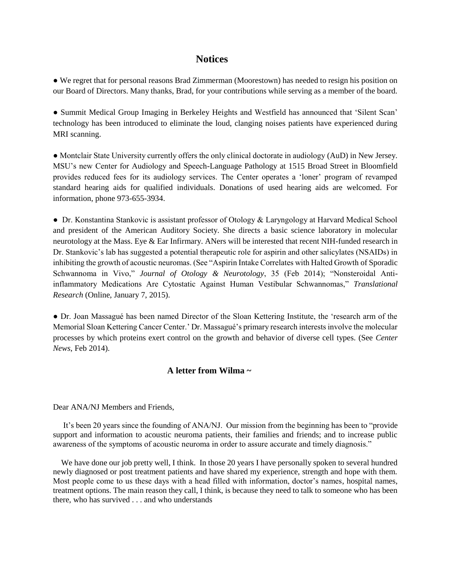## **Notices**

**●** We regret that for personal reasons Brad Zimmerman (Moorestown) has needed to resign his position on our Board of Directors. Many thanks, Brad, for your contributions while serving as a member of the board.

**●** Summit Medical Group Imaging in Berkeley Heights and Westfield has announced that 'Silent Scan' technology has been introduced to eliminate the loud, clanging noises patients have experienced during MRI scanning.

● Montclair State University currently offers the only clinical doctorate in audiology (AuD) in New Jersey. MSU's new Center for Audiology and Speech-Language Pathology at 1515 Broad Street in Bloomfield provides reduced fees for its audiology services. The Center operates a 'loner' program of revamped standard hearing aids for qualified individuals. Donations of used hearing aids are welcomed. For information, phone 973-655-3934.

● Dr. Konstantina Stankovic is assistant professor of Otology & Laryngology at Harvard Medical School and president of the American Auditory Society. She directs a basic science laboratory in molecular neurotology at the Mass. Eye & Ear Infirmary. ANers will be interested that recent NIH-funded research in Dr. Stankovic's lab has suggested a potential therapeutic role for aspirin and other salicylates (NSAIDs) in inhibiting the growth of acoustic neuromas. (See "Aspirin Intake Correlates with Halted Growth of Sporadic Schwannoma in Vivo," *Journal of Otology & Neurotology*, 35 (Feb 2014); "Nonsteroidal Antiinflammatory Medications Are Cytostatic Against Human Vestibular Schwannomas," *Translational Research* (Online, January 7, 2015).

● Dr. Joan Massagué has been named Director of the Sloan Kettering Institute, the 'research arm of the Memorial Sloan Kettering Cancer Center.' Dr. Massagué's primary research interests involve the molecular processes by which proteins exert control on the growth and behavior of diverse cell types. (See *Center News*, Feb 2014).

## **A letter from Wilma ~**

Dear ANA/NJ Members and Friends,

 It's been 20 years since the founding of ANA/NJ. Our mission from the beginning has been to "provide support and information to acoustic neuroma patients, their families and friends; and to increase public awareness of the symptoms of acoustic neuroma in order to assure accurate and timely diagnosis."

We have done our job pretty well, I think. In those 20 years I have personally spoken to several hundred newly diagnosed or post treatment patients and have shared my experience, strength and hope with them. Most people come to us these days with a head filled with information, doctor's names, hospital names, treatment options. The main reason they call, I think, is because they need to talk to someone who has been there, who has survived . . . and who understands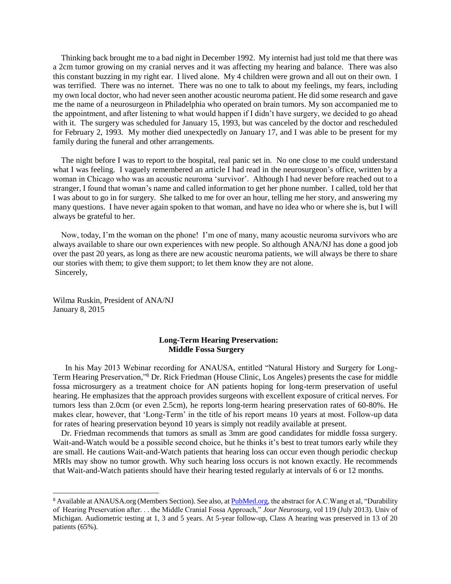Thinking back brought me to a bad night in December 1992. My internist had just told me that there was a 2cm tumor growing on my cranial nerves and it was affecting my hearing and balance. There was also this constant buzzing in my right ear. I lived alone. My 4 children were grown and all out on their own. I was terrified. There was no internet. There was no one to talk to about my feelings, my fears, including my own local doctor, who had never seen another acoustic neuroma patient. He did some research and gave me the name of a neurosurgeon in Philadelphia who operated on brain tumors. My son accompanied me to the appointment, and after listening to what would happen if I didn't have surgery, we decided to go ahead with it. The surgery was scheduled for January 15, 1993, but was canceled by the doctor and rescheduled for February 2, 1993. My mother died unexpectedly on January 17, and I was able to be present for my family during the funeral and other arrangements.

 The night before I was to report to the hospital, real panic set in. No one close to me could understand what I was feeling. I vaguely remembered an article I had read in the neurosurgeon's office, written by a woman in Chicago who was an acoustic neuroma 'survivor'. Although I had never before reached out to a stranger, I found that woman's name and called information to get her phone number. I called, told her that I was about to go in for surgery. She talked to me for over an hour, telling me her story, and answering my many questions. I have never again spoken to that woman, and have no idea who or where she is, but I will always be grateful to her.

 Now, today, I'm the woman on the phone! I'm one of many, many acoustic neuroma survivors who are always available to share our own experiences with new people. So although ANA/NJ has done a good job over the past 20 years, as long as there are new acoustic neuroma patients, we will always be there to share our stories with them; to give them support; to let them know they are not alone. Sincerely,

Wilma Ruskin, President of ANA/NJ January 8, 2015

 $\overline{\phantom{a}}$ 

### **Long-Term Hearing Preservation: Middle Fossa Surgery**

 In his May 2013 Webinar recording for ANAUSA, entitled "Natural History and Surgery for Long-Term Hearing Preservation,"<sup>8</sup> Dr. Rick Friedman (House Clinic, Los Angeles) presents the case for middle fossa microsurgery as a treatment choice for AN patients hoping for long-term preservation of useful hearing. He emphasizes that the approach provides surgeons with excellent exposure of critical nerves. For tumors less than 2.0cm (or even 2.5cm), he reports long-term hearing preservation rates of 60-80%. He makes clear, however, that 'Long-Term' in the title of his report means 10 years at most. Follow-up data for rates of hearing preservation beyond 10 years is simply not readily available at present.

 Dr. Friedman recommends that tumors as small as 3mm are good candidates for middle fossa surgery. Wait-and-Watch would be a possible second choice, but he thinks it's best to treat tumors early while they are small. He cautions Wait-and-Watch patients that hearing loss can occur even though periodic checkup MRIs may show no tumor growth. Why such hearing loss occurs is not known exactly. He recommends that Wait-and-Watch patients should have their hearing tested regularly at intervals of 6 or 12 months.

<sup>&</sup>lt;sup>8</sup> Available at ANAUSA.org (Members Section). See also, at [PubMed.org,](http://www.pubmed.org/) the abstract for A.C.Wang et al, "Durability of Hearing Preservation after. . . the Middle Cranial Fossa Approach," *Jour Neurosurg*, vol 119 (July 2013). Univ of Michigan. Audiometric testing at 1, 3 and 5 years. At 5-year follow-up, Class A hearing was preserved in 13 of 20 patients (65%).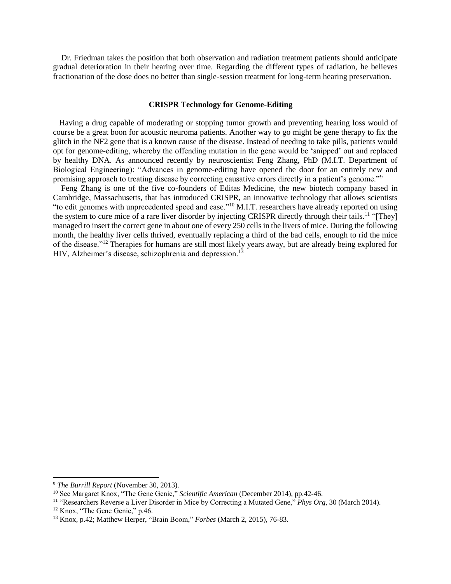Dr. Friedman takes the position that both observation and radiation treatment patients should anticipate gradual deterioration in their hearing over time. Regarding the different types of radiation, he believes fractionation of the dose does no better than single-session treatment for long-term hearing preservation.

### **CRISPR Technology for Genome-Editing**

 Having a drug capable of moderating or stopping tumor growth and preventing hearing loss would of course be a great boon for acoustic neuroma patients. Another way to go might be gene therapy to fix the glitch in the NF2 gene that is a known cause of the disease. Instead of needing to take pills, patients would opt for genome-editing, whereby the offending mutation in the gene would be 'snipped' out and replaced by healthy DNA. As announced recently by neuroscientist Feng Zhang, PhD (M.I.T. Department of Biological Engineering): "Advances in genome-editing have opened the door for an entirely new and promising approach to treating disease by correcting causative errors directly in a patient's genome."<sup>9</sup>

 Feng Zhang is one of the five co-founders of Editas Medicine, the new biotech company based in Cambridge, Massachusetts, that has introduced CRISPR, an innovative technology that allows scientists "to edit genomes with unprecedented speed and ease."<sup>10</sup> M.I.T. researchers have already reported on using the system to cure mice of a rare liver disorder by injecting CRISPR directly through their tails.<sup>11</sup> "[They] managed to insert the correct gene in about one of every 250 cells in the livers of mice. During the following month, the healthy liver cells thrived, eventually replacing a third of the bad cells, enough to rid the mice of the disease."<sup>12</sup> Therapies for humans are still most likely years away, but are already being explored for HIV, Alzheimer's disease, schizophrenia and depression.<sup>13</sup>

l

<sup>9</sup> *The Burrill Report* (November 30, 2013).

<sup>10</sup> See Margaret Knox, "The Gene Genie," *Scientific American* (December 2014), pp.42-46.

<sup>11</sup> "Researchers Reverse a Liver Disorder in Mice by Correcting a Mutated Gene," *Phys Org*, 30 (March 2014).

<sup>&</sup>lt;sup>12</sup> Knox, "The Gene Genie," p.46.

<sup>13</sup> Knox, p.42; Matthew Herper, "Brain Boom," *Forbes* (March 2, 2015), 76-83.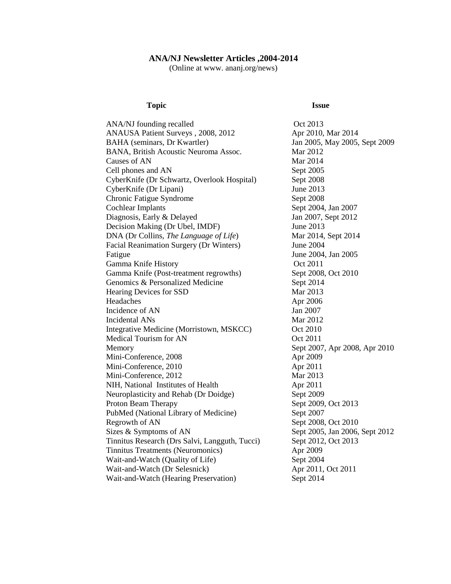## **ANA/NJ Newsletter Articles ,2004-2014**

(Online at www. ananj.org/news)

### **Topic Issue**

| ANA/NJ founding recalled                       | Oct 2013                       |
|------------------------------------------------|--------------------------------|
| ANAUSA Patient Surveys, 2008, 2012             | Apr 2010, Mar 2014             |
| BAHA (seminars, Dr Kwartler)                   | Jan 2005, May 2005, Sept 2009  |
| BANA, British Acoustic Neuroma Assoc.          | Mar 2012                       |
| Causes of AN                                   | Mar 2014                       |
| Cell phones and AN                             | Sept 2005                      |
| CyberKnife (Dr Schwartz, Overlook Hospital)    | Sept 2008                      |
| CyberKnife (Dr Lipani)                         | June 2013                      |
| Chronic Fatigue Syndrome                       | Sept 2008                      |
| <b>Cochlear Implants</b>                       | Sept 2004, Jan 2007            |
| Diagnosis, Early & Delayed                     | Jan 2007, Sept 2012            |
| Decision Making (Dr Ubel, IMDF)                | June 2013                      |
| DNA (Dr Collins, The Language of Life)         | Mar 2014, Sept 2014            |
| Facial Reanimation Surgery (Dr Winters)        | June 2004                      |
| Fatigue                                        | June 2004, Jan 2005            |
| Gamma Knife History                            | Oct 2011                       |
| Gamma Knife (Post-treatment regrowths)         | Sept 2008, Oct 2010            |
| Genomics & Personalized Medicine               | Sept 2014                      |
| Hearing Devices for SSD                        | Mar 2013                       |
| Headaches                                      | Apr 2006                       |
| Incidence of AN                                | Jan 2007                       |
| Incidental ANs                                 | Mar 2012                       |
| Integrative Medicine (Morristown, MSKCC)       | Oct 2010                       |
| Medical Tourism for AN                         | Oct 2011                       |
| Memory                                         | Sept 2007, Apr 2008, Apr 2010  |
| Mini-Conference, 2008                          | Apr 2009                       |
| Mini-Conference, 2010                          | Apr 2011                       |
| Mini-Conference, 2012                          | Mar 2013                       |
| NIH, National Institutes of Health             | Apr 2011                       |
| Neuroplasticity and Rehab (Dr Doidge)          | Sept 2009                      |
| Proton Beam Therapy                            | Sept 2009, Oct 2013            |
| PubMed (National Library of Medicine)          | Sept 2007                      |
| Regrowth of AN                                 | Sept 2008, Oct 2010            |
| Sizes & Symptoms of AN                         | Sept 2005, Jan 2006, Sept 2012 |
| Tinnitus Research (Drs Salvi, Langguth, Tucci) | Sept 2012, Oct 2013            |
| Tinnitus Treatments (Neuromonics)              | Apr 2009                       |
| Wait-and-Watch (Quality of Life)               | Sept 2004                      |
| Wait-and-Watch (Dr Selesnick)                  | Apr 2011, Oct 2011             |
| Wait-and-Watch (Hearing Preservation)          | Sept 2014                      |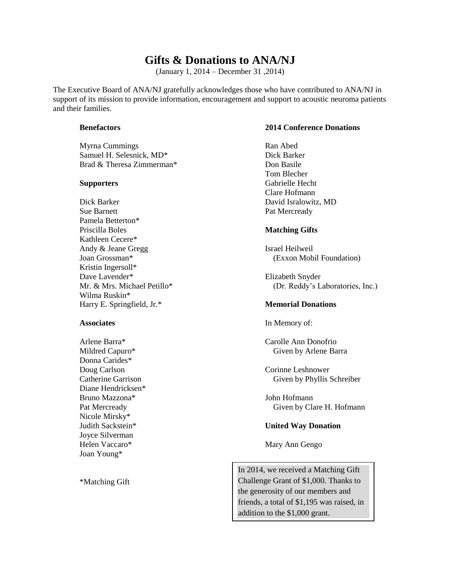## **Gifts & Donations to ANA/NJ**

(January 1, 2014 – December 31 ,2014)

The Executive Board of ANA/NJ gratefully acknowledges those who have contributed to ANA/NJ in support of its mission to provide information, encouragement and support to acoustic neuroma patients and their families.

Myrna Cummings Ran Abed Samuel H. Selesnick, MD<sup>\*</sup> Dick Barker Brad & Theresa Zimmerman\* Don Basile

Dick Barker David Isralowitz, MD Sue Barnett **Pat Mercready** Pamela Betterton\* Priscilla Boles **Matching Gifts** Kathleen Cecere\* Andy & Jeane Gregg Israel Heilweil Kristin Ingersoll\* Dave Lavender\* Elizabeth Snyder Wilma Ruskin\* Harry E. Springfield, Jr.\* **Memorial Donations**

Donna Carides\* Doug Carlson Corinne Leshnower Diane Hendricksen\* Bruno Mazzona\* John Hofmann Nicole Mirsky\* Joyce Silverman Helen Vaccaro\* Mary Ann Gengo Joan Young\*

\*Matching Gift

## **Benefactors 2014 Conference Donations**

Tom Blecher **Supporters** Gabrielle Hecht Clare Hofmann

Joan Grossman\* (Exxon Mobil Foundation)

Mr. & Mrs. Michael Petillo\* (Dr. Reddy's Laboratories, Inc.)

**Associates** In Memory of:

Arlene Barra\* Carolle Ann Donofrio Mildred Capuro\* Given by Arlene Barra

Catherine Garrison Given by Phyllis Schreiber

Pat Mercready **Clare H. Hofmann** 

## Judith Sackstein\* **United Way Donation**

In 2014, we received a Matching Gift Challenge Grant of \$1,000. Thanks to the generosity of our members and friends, a total of \$1,195 was raised, in addition to the \$1,000 grant.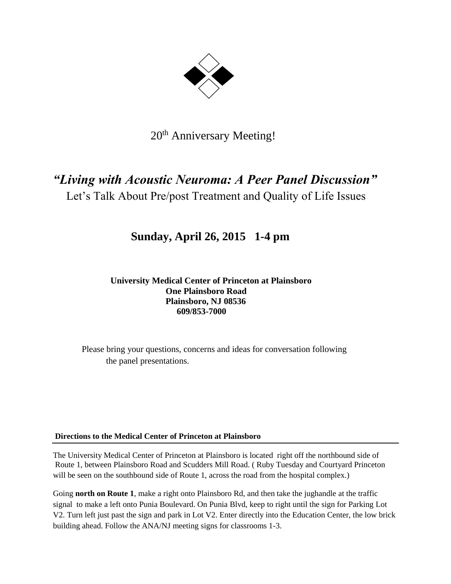

## 20<sup>th</sup> Anniversary Meeting!

# *"Living with Acoustic Neuroma: A Peer Panel Discussion"*

Let's Talk About Pre/post Treatment and Quality of Life Issues

## **Sunday, April 26, 2015 1-4 pm**

 **University Medical Center of Princeton at Plainsboro One Plainsboro Road Plainsboro, NJ 08536 609/853-7000**

Please bring your questions, concerns and ideas for conversation following the panel presentations.

## **Directions to the Medical Center of Princeton at Plainsboro**

The University Medical Center of Princeton at Plainsboro is located right off the northbound side of Route 1, between Plainsboro Road and Scudders Mill Road. ( Ruby Tuesday and Courtyard Princeton will be seen on the southbound side of Route 1, across the road from the hospital complex.)

Going **north on Route 1**, make a right onto Plainsboro Rd, and then take the jughandle at the traffic signal to make a left onto Punia Boulevard. On Punia Blvd, keep to right until the sign for Parking Lot V2. Turn left just past the sign and park in Lot V2. Enter directly into the Education Center, the low brick building ahead. Follow the ANA/NJ meeting signs for classrooms 1-3.